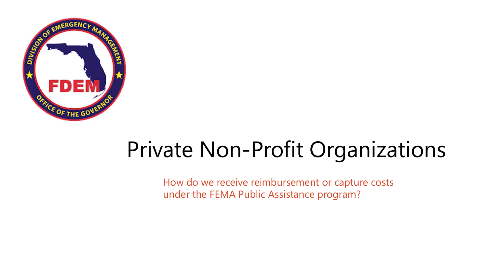

# Private Non-Profit Organizations

How do we receive reimbursement or capture costs under the FEMA Public Assistance program?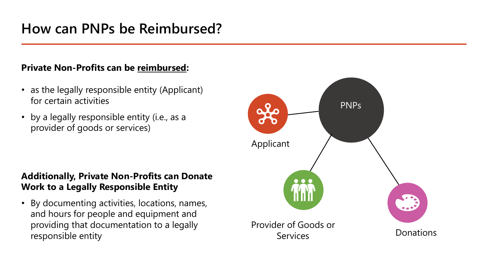### **Private Non-Profits can be reimbursed:**

- as the legally responsible entity (Applicant) for certain activities
- by a legally responsible entity (i.e., as a provider of goods or services)

### **Additionally, Private Non-Profits can Donate Work to a Legally Responsible Entity**

• By documenting activities, locations, names, and hours for people and equipment and providing that documentation to a legally responsible entity

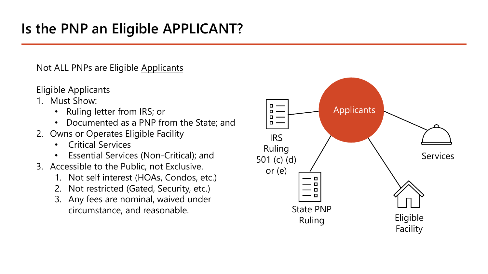Not ALL PNPs are Eligible Applicants

Eligible Applicants

- 1. Must Show:
	- Ruling letter from IRS; or
	- Documented as a PNP from the State; and
- 2. Owns or Operates **Eligible Facility** 
	- Critical Services
	- Essential Services (Non-Critical); and
- 3. Accessible to the Public, not Exclusive.
	- 1. Not self interest (HOAs, Condos, etc.)
	- 2. Not restricted (Gated, Security, etc.)
	- 3. Any fees are nominal, waived under circumstance, and reasonable.

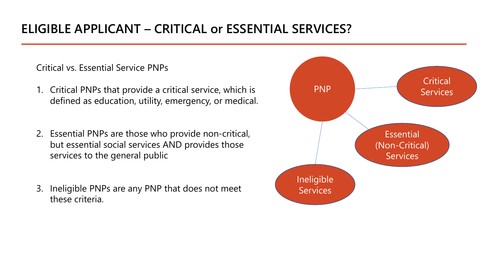### **ELIGIBLE APPLICANT – CRITICAL or ESSENTIAL SERVICES?**

Critical vs. Essential Service PNPs

- 1. Critical PNPs that provide a critical service, which is defined as education, utility, emergency, or medical.
- 2. Essential PNPs are those who provide non-critical, but essential social services AND provides those services to the general public
- 3. Ineligible PNPs are any PNP that does not meet these criteria.

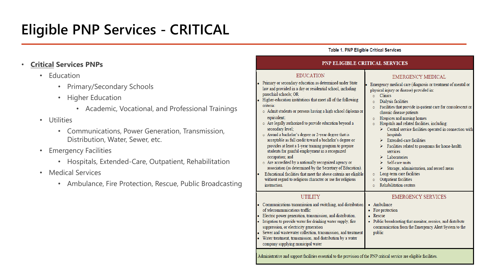# **Eligible PNP Services - CRITICAL**

### • **Critical Services PNPs**

- Education
	- Primary/Secondary Schools
	- Higher Education
		- Academic, Vocational, and Professional Trainings
- Utilities
	- Communications, Power Generation, Transmission, Distribution, Water, Sewer, etc.
- **Emergency Facilities** 
	- Hospitals, Extended-Care, Outpatient, Rehabilitation
- Medical Services
	- Ambulance, Fire Protection, Rescue, Public Broadcasting

#### **Table 1. PNP Eligible Critical Services**

#### PNP ELIGIBLE CRITICAL SERVICES

#### **EDUCATION**

- Primary or secondary education as determined under State law and provided in a day or residential school, including parochial schools: OR
- Higher-education institutions that meet all of the following criteria:
- o Admit students or persons having a high school diploma or equivalent:
- o Are legally authorized to provide education beyond a secondary level:
- Award a bachelor's degree or 2-year degree that is acceptable as full credit toward a bachelor's degree or provides at least a 1-year training program to prepare students for gainful employment in a recognized occupation; and
- o Are accredited by a nationally recognized agency or association (as determined by the Secretary of Education). Educational facilities that meet the above criteria are eligible without regard to religious character or use for religious instruction.

### **UTILITY**

- Communications transmission and switching, and distribution of telecommunications traffic
- Electric power generation, transmission, and distribution. Irrigation to provide water for drinking water supply, fire
- suppression, or electricity generation
- Sewer and wastewater collection, transmission, and treatment Water treatment, transmission, and distribution by a water
- company supplying municipal water

#### physical injury or disease) provided in:  $\circ$  Clinics Dialysis facilities  $\circ$

**EMERGENCY MEDICAL** 

Emergency medical care (diagnosis or treatment of mental or

- o Facilities that provide in-patient care for convalescent or chronic disease patients
- Hospices and nursing homes  $\circ$
- Hospitals and related facilities, including:  $\circ$ 
	- > Central service facilities operated in connection with hospitals
	- $\triangleright$  Extended-care facilities
	- Facilities related to programs for home-health services
	- $\blacktriangleright$ Laboratories
	- $\triangleright$  Self-care units
	- > Storage, administration, and record areas
- o Long-term care facilities
- **Outpatient facilities**  $\sigma$
- Rehabilitation centers  $\circ$

#### **EMERGENCY SERVICES**

- Ambulance
- Fire protection
- Rescue
- Public broadcasting that monitor, receive, and distribute communication from the Emergency Alert System to the public

Administrative and support facilities essential to the provision of the PNP critical service are eligible facilities.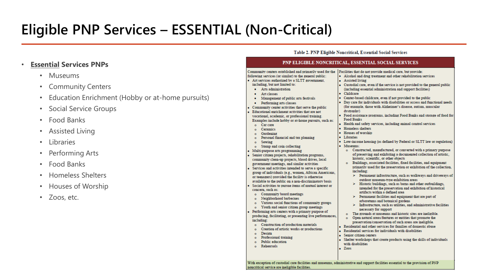# **Eligible PNP Services – ESSENTIAL (Non-Critical)**

### • **Essential Services PNPs**

- Museums
- Community Centers
- Education Enrichment (Hobby or at-home pursuits)
- Social Service Groups
- Food Banks
- Assisted Living
- Libraries
- Performing Arts
- Food Banks
- Homeless Shelters
- Houses of Worship
- Zoos, etc.

#### Table 2. PNP Eligible Noncritical, Essential Social Services

#### PNP ELIGIBLE NONCRITICAL, ESSENTIAL SOCIAL SERVICES

Community centers established and primarily used for the  $\frac{1}{2}$  Facilities that do not provide medical care, but provide: following services (or similar) to the general public: · Alcohol and drug treatment and other rehabilitation services • Art services authorized by a SLTT government. • Assisted living including, but not limited to: Custodial care, even if the service is not provided to the general public · Arts administration (including essential administration and support facilities) Childcare · Art classes Center-based childcare, even if not provided to the public • Management of public arts festivals Day care for individuals with disabilities or access and functional needs. Performing arts classes (for example, those with Alzheimer's disease, autism, muscular Community center activities that serve the public dystrophy) Educational enrichment activities that are not Food assistance programs, including Food Banks and storage of food for vocational, academic, or professional training. **Food Banks** Examples include hobby or at-home pursuits, such as: Health and safety services, including animal control services  $\alpha$  Car care Homeless shelters Ceramics  $\sim$ Houses of worship Gardening  $\sim$ Libraries Personal financial and tax planning Low-income housing (as defined by Federal or SLTT law or regulation)  $\alpha$ Sewing Museums: Stamp and coin collecting o Constructed, manufactured, or converted with a primary purpose Multi-purpose arts programming of preserving and exhibiting a documented collection of artistic. Senior citizen projects, rehabilitation programs, historic, scientific, or other objects community clean-up projects, blood drives, local o Buildings, associated facilities, fixed facilities, and equipment government meetings, and similar activities primarily used for the preservation or exhibition of the collection. Services and activities intended to serve a specific including: group of individuals (e.g., women, African Americans,  $\triangleright$  Permanent infrastructure, such as walkways and driveways of or teenagers) provided the facility is otherwise outdoor museum-type exhibition areas available to the public on a non-discriminatory basis. > Historic buildings, such as barns and other outbuildings, Social activities to pursue items of mutual interest or intended for the preservation and exhibition of historical concern, such as: artifacts within a defined area o Community board meetings  $\triangleright$  Permanent facilities and equipment that are part of Neighborhood barbecues arboretums and botanical gardens o Various social functions of community groups Infrastructure, such as utilities, and administrative facilities o Youth and senior citizen group meetings necessary for support Performing arts centers with a primary purpose of o The grounds at museums and historic sites are ineligible. producing, facilitating, or presenting live performances, o Open natural areas/features or entities that promote the including: preservation/conservation of such areas are ineligible. o Construction of production materials Residential and other services for families of domestic abuse o Creation of artistic works or productions Residential services for individuals with disabilities Design  $\sim$ Senior citizen centers Professional training Shelter workshops that create products using the skills of individuals Public education with disabilities. o Rehearsals Zoos

With exception of custodial care facilities and museums, administrative and support facilities essential to the provision of PNP noncritical service are ineligible facilities.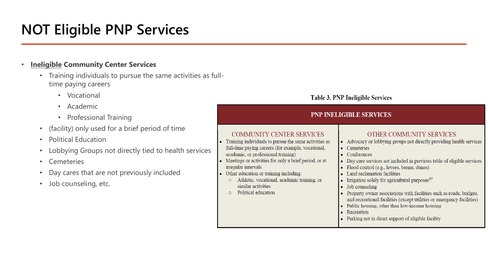# **NOT Eligible PNP Services**

### • **Ineligible Community Center Services**

- Training individuals to pursue the same activities as fulltime paying careers
	- Vocational
	- Academic
	- Professional Training
- (facility) only used for a brief period of time
- Political Education
- Lobbying Groups not directly tied to health services
- **Cemeteries**
- Day cares that are not previously included
- Job counseling, etc.

### **Table 3. PNP Ineligible Services**

#### **PNP INELIGIBLE SERVICES COMMUNITY CENTER SERVICES** OTHER COMMUNITY SERVICES • Training individuals to pursue the same activities as • Advocacy or lobbying groups not directly providing health services full-time paying careers (for example, vocational, • Cemeteries academic, or professional training)  $\bullet$  Conferences Meetings or activities for only a brief period, or at • Day care services not included in previous table of eligible services irregular intervals • Flood control (e.g., levees, berms, dunes) Other education or training including: • Land reclamation facilities o Athletic, vocational, academic training, or • Irrigation solely for agricultural purposes $97$ similar activities  $\bullet$  Job counseling o Political education • Property owner associations with facilities such as roads, bridges, and recreational facilities (except utilities or emergency facilities) • Public housing, other than low-income housing • Recreation • Parking not in direct support of eligible facility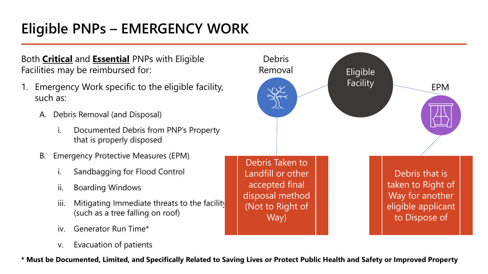# **Eligible PNPs – EMERGENCY WORK**

Both **Critical** and **Essential** PNPs with Eligible Facilities may be reimbursed for:

- 1. Emergency Work specific to the eligible facility, such as:
	- A. Debris Removal (and Disposal)
		- i. Documented Debris from PNP's Property that is properly disposed
	- B. Emergency Protective Measures (EPM)
		- Sandbagging for Flood Control
		- ii. Boarding Windows
		- iii. Mitigating Immediate threats to the facility (such as a tree falling on roof)
		- iv. Generator Run Time\*
		- v. Evacuation of patients



**\* Must be Documented, Limited, and Specifically Related to Saving Lives or Protect Public Health and Safety or Improved Property**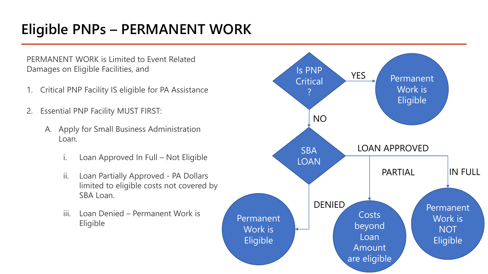# **Eligible PNPs – PERMANENT WORK**

PERMANENT WORK is Limited to Event Related Damages on Eligible Facilities, and

- 1. Critical PNP Facility IS eligible for PA Assistance
- 2. Essential PNP Facility MUST FIRST:
	- A. Apply for Small Business Administration Loan.
		- i. Loan Approved In Full Not Eligible
		- ii. Loan Partially Approved PA Dollars limited to eligible costs not covered by SBA Loan.
		- iii. Loan Denied Permanent Work is Eligible

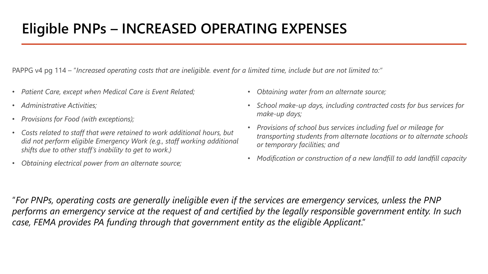PAPPG v4 pg 114 – "*Increased operating costs that are ineligible. event for a limited time, include but are not limited to:"*

- *Patient Care, except when Medical Care is Event Related;*
- *Administrative Activities;*
- *Provisions for Food (with exceptions);*
- *Costs related to staff that were retained to work additional hours, but did not perform eligible Emergency Work (e.g., staff working additional shifts due to other staff's inability to get to work.)*
- *Obtaining electrical power from an alternate source;*
- *Obtaining water from an alternate source;*
- *School make-up days, including contracted costs for bus services for make-up days;*
- *Provisions of school bus services including fuel or mileage for transporting students from alternate locations or to alternate schools or temporary facilities; and*
- *Modification or construction of a new landfill to add landfill capacity*

"*For PNPs, operating costs are generally ineligible even if the services are emergency services, unless the PNP performs an emergency service at the request of and certified by the legally responsible government entity. In such case, FEMA provides PA funding through that government entity as the eligible Applicant*."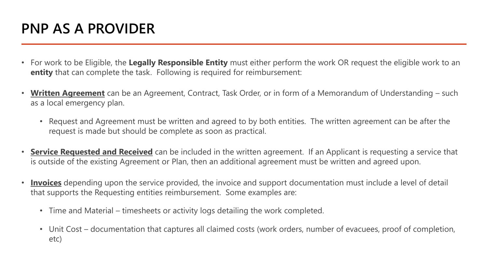## **PNP AS A PROVIDER**

- For work to be Eligible, the **Legally Responsible Entity** must either perform the work OR request the eligible work to an **entity** that can complete the task. Following is required for reimbursement:
- **Written Agreement** can be an Agreement, Contract, Task Order, or in form of a Memorandum of Understanding such as a local emergency plan.
	- Request and Agreement must be written and agreed to by both entities. The written agreement can be after the request is made but should be complete as soon as practical.
- **Service Requested and Received** can be included in the written agreement. If an Applicant is requesting a service that is outside of the existing Agreement or Plan, then an additional agreement must be written and agreed upon.
- **Invoices** depending upon the service provided, the invoice and support documentation must include a level of detail that supports the Requesting entities reimbursement. Some examples are:
	- Time and Material timesheets or activity logs detailing the work completed.
	- Unit Cost documentation that captures all claimed costs (work orders, number of evacuees, proof of completion, etc)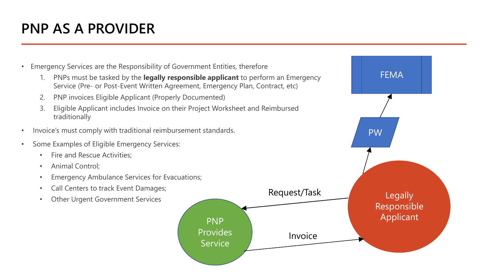## **PNP AS A PROVIDER**



1. PNPs must be tasked by the **legally responsible applicant** to perform an Emergency Service (Pre- or Post-Event Written Agreement, Emergency Plan, Contract, etc)

Provides

**Service** 

- 2. PNP invoices Eligible Applicant (Properly Documented)
- 3. Eligible Applicant includes Invoice on their Project Worksheet and Reimbursed traditionally
- Invoice's must comply with traditional reimbursement standards.
- Some Examples of Eligible Emergency Services:
	- Fire and Rescue Activities;
	- Animal Control;
	- Emergency Ambulance Services for Evacuations;
	- Call Centers to track Event Damages;
	-

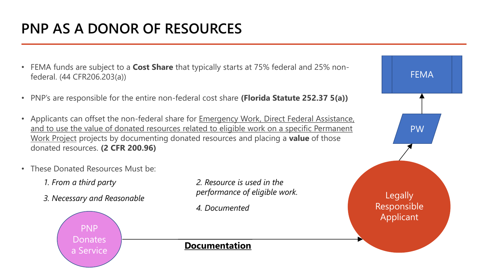# **PNP AS A DONOR OF RESOURCES**

- FEMA funds are subject to a **Cost Share** that typically starts at 75% federal and 25% nonfederal. (44 CFR206.203(a))
- PNP's are responsible for the entire non-federal cost share **(Florida Statute 252.37 5(a))**
- Applicants can offset the non-federal share for Emergency Work, Direct Federal Assistance, and to use the value of donated resources related to eligible work on a specific Permanent Work Project projects by documenting donated resources and placing a **value** of those donated resources. **(2 CFR 200.96)**
- These Donated Resources Must be:
	- *1. From a third party*
	- *3. Necessary and Reasonable*

*2. Resource is used in the performance of eligible work.*

*4. Documented*

# **Legally** Responsible Applicant PW

FEMA



### **Documentation**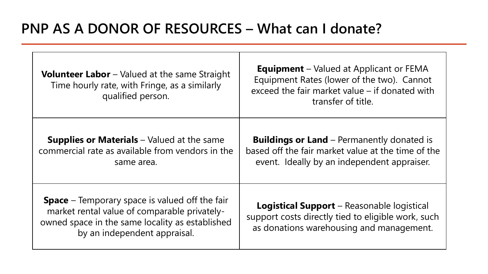| <b>Volunteer Labor</b> – Valued at the same Straight<br>Time hourly rate, with Fringe, as a similarly<br>qualified person.                                                               | <b>Equipment</b> – Valued at Applicant or FEMA<br>Equipment Rates (lower of the two). Cannot<br>exceed the fair market value – if donated with<br>transfer of title. |
|------------------------------------------------------------------------------------------------------------------------------------------------------------------------------------------|----------------------------------------------------------------------------------------------------------------------------------------------------------------------|
| <b>Supplies or Materials</b> $-$ Valued at the same<br>commercial rate as available from vendors in the<br>same area.                                                                    | <b>Buildings or Land</b> – Permanently donated is<br>based off the fair market value at the time of the<br>event. Ideally by an independent appraiser.               |
| <b>Space</b> – Temporary space is valued off the fair<br>market rental value of comparable privately-<br>owned space in the same locality as established<br>by an independent appraisal. | <b>Logistical Support</b> – Reasonable logistical<br>support costs directly tied to eligible work, such<br>as donations warehousing and management.                  |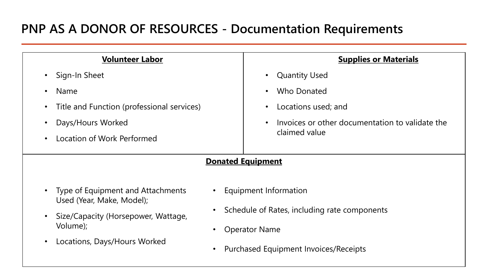### **PNP AS A DONOR OF RESOURCES - Documentation Requirements**

| <b>Volunteer Labor</b>                                         |                                              | <b>Supplies or Materials</b>                    |
|----------------------------------------------------------------|----------------------------------------------|-------------------------------------------------|
| Sign-In Sheet<br>$\bullet$                                     |                                              | <b>Quantity Used</b><br>$\bullet$               |
| <b>Name</b>                                                    |                                              | Who Donated                                     |
| Title and Function (professional services)<br>$\bullet$        |                                              | Locations used; and                             |
| Days/Hours Worked                                              |                                              | Invoices or other documentation to validate the |
| Location of Work Performed                                     | claimed value                                |                                                 |
| <b>Donated Equipment</b>                                       |                                              |                                                 |
|                                                                |                                              |                                                 |
| Type of Equipment and Attachments<br>Used (Year, Make, Model); | Equipment Information                        |                                                 |
| Size/Capacity (Horsepower, Wattage,<br>$\bullet$               | Schedule of Rates, including rate components |                                                 |
| Volume);<br>Locations, Days/Hours Worked                       | <b>Operator Name</b>                         |                                                 |
|                                                                | <b>Purchased Equipment Invoices/Receipts</b> |                                                 |